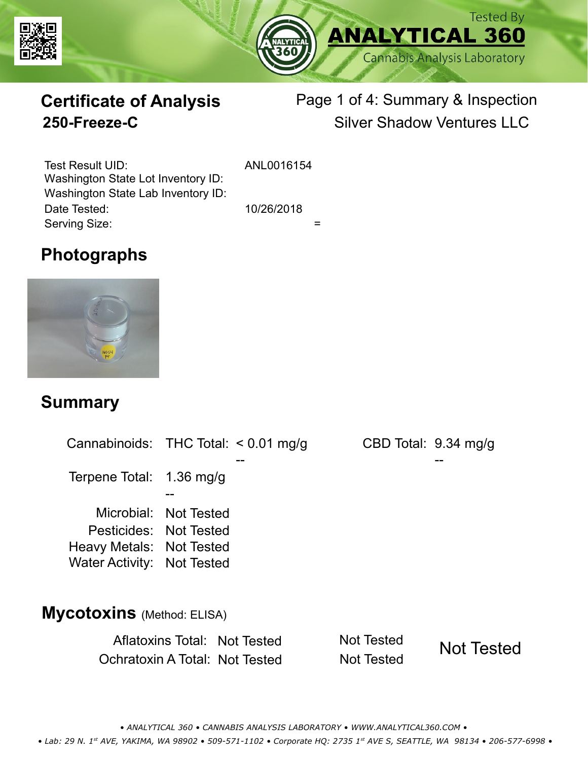



# **Certificate of Analysis**

# Page 1 of 4: Summary & Inspection **250-Freeze-C** Silver Shadow Ventures LLC

Serving Size:  $=$ Test Result UID: ANL0016154 Date Tested: 10/26/2018 Washington State Lot Inventory ID: Washington State Lab Inventory ID:

### **Photographs**



### **Summary**

Cannabinoids: THC Total:  $< 0.01$  mg/g Terpene Total: 1.36 mg/g Microbial: Not Tested CBD Total: 9.34 mg/g Pesticides: Not Tested Heavy Metals: Not Tested -- -- -- Water Activity: Not Tested **Mycotoxins** (Method: ELISA)

> Aflatoxins Total: Not Tested Not Tested Ochratoxin A Total: Not Tested Not Tested Not Tested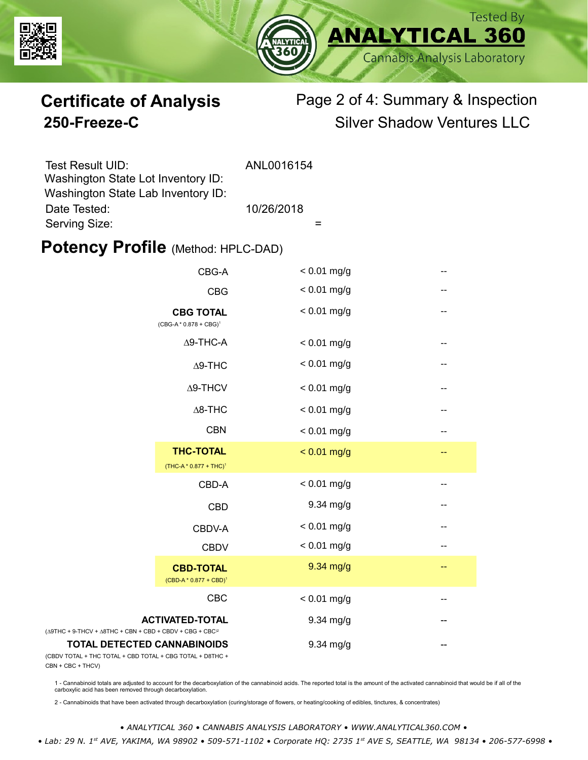



# **Certificate of Analysis** Page 2 of 4: Summary & Inspection **250-Freeze-C** Silver Shadow Ventures LLC

| Test Result UID:                   | ANL0016154 |
|------------------------------------|------------|
| Washington State Lot Inventory ID: |            |
| Washington State Lab Inventory ID: |            |
| Date Tested:                       | 10/26/2018 |
| Serving Size:                      |            |

### **Potency Profile (Method: HPLC-DAD)**

|                                                                                                   | CBG-A                                                  | $< 0.01$ mg/g |     |
|---------------------------------------------------------------------------------------------------|--------------------------------------------------------|---------------|-----|
|                                                                                                   | <b>CBG</b>                                             | $< 0.01$ mg/g |     |
|                                                                                                   | <b>CBG TOTAL</b><br>$(CBG-A * 0.878 + CBG)^1$          | $< 0.01$ mg/g | $-$ |
|                                                                                                   | $\Delta$ 9-THC-A                                       | $< 0.01$ mg/g | --  |
|                                                                                                   | $\Delta$ 9-THC                                         | $< 0.01$ mg/g | --  |
|                                                                                                   | $\Delta$ 9-THCV                                        | $< 0.01$ mg/g | --  |
|                                                                                                   | $\Delta$ 8-THC                                         | $< 0.01$ mg/g | --  |
|                                                                                                   | <b>CBN</b>                                             | $< 0.01$ mg/g | --  |
|                                                                                                   | <b>THC-TOTAL</b><br>(THC-A * 0.877 + THC) <sup>1</sup> | $< 0.01$ mg/g | --  |
|                                                                                                   | CBD-A                                                  | $< 0.01$ mg/g | --  |
|                                                                                                   | <b>CBD</b>                                             | 9.34 mg/g     | --  |
|                                                                                                   | CBDV-A                                                 | $< 0.01$ mg/g | --  |
|                                                                                                   | <b>CBDV</b>                                            | $< 0.01$ mg/g | --  |
|                                                                                                   | <b>CBD-TOTAL</b><br>$(CBD-A * 0.877 + CBD)^1$          | 9.34 mg/g     | --  |
|                                                                                                   | CBC                                                    | $< 0.01$ mg/g | --  |
| <b>ACTIVATED-TOTAL</b><br>$(\Delta 9THC + 9-THCV + \Delta 8THC + CBN + CBD + CBDV + CBC + CBC)^2$ |                                                        | 9.34 mg/g     |     |
| <b>TOTAL DETECTED CANNABINOIDS</b><br>(CBDV TOTAL + THC TOTAL + CBD TOTAL + CBG TOTAL + D8THC +   |                                                        | 9.34 mg/g     |     |

(CBDV TOTAL + THC TOTAL CBN + CBC + THCV)

1 - Cannabinoid totals are adjusted to account for the decarboxylation of the cannabinoid acids. The reported total is the amount of the activated cannabinoid that would be if all of the<br>carboxylic acid has been removed th

2 - Cannabinoids that have been activated through decarboxylation (curing/storage of flowers, or heating/cooking of edibles, tinctures, & concentrates)

*• ANALYTICAL 360 • CANNABIS ANALYSIS LABORATORY • WWW.ANALYTICAL360.COM • • Lab: 29 N. 1st AVE, YAKIMA, WA 98902 • 509-571-1102 • Corporate HQ: 2735 1st AVE S, SEATTLE, WA 98134 • 206-577-6998 •*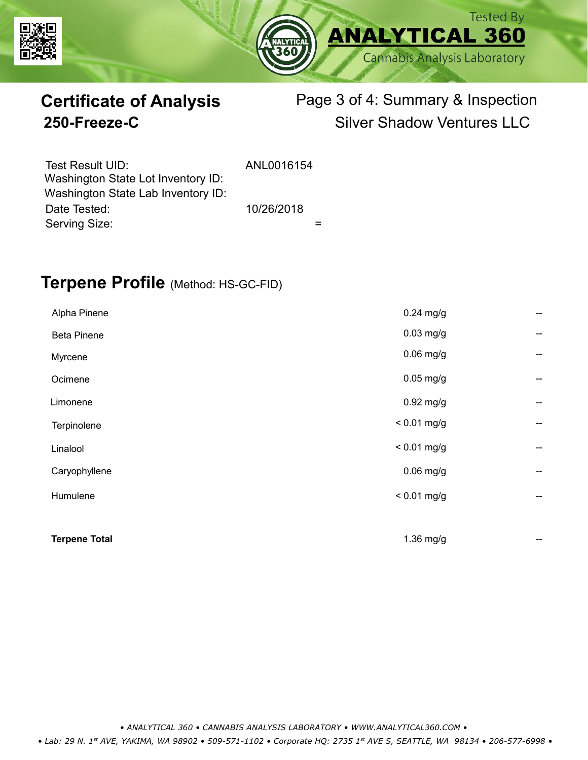



# **Certificate of Analysis** Page 3 of 4: Summary & Inspection **250-Freeze-C** Silver Shadow Ventures LLC

| Test Result UID:<br>Washington State Lot Inventory ID: | ANL0016154 |  |
|--------------------------------------------------------|------------|--|
| Washington State Lab Inventory ID:                     |            |  |
| Date Tested:                                           | 10/26/2018 |  |
| Serving Size:                                          |            |  |

### **Terpene Profile** (Method: HS-GC-FID)

| Alpha Pinene         | $0.24$ mg/g   | --                                    |
|----------------------|---------------|---------------------------------------|
| <b>Beta Pinene</b>   | $0.03$ mg/g   | --                                    |
| Myrcene              | $0.06$ mg/g   | $\hspace{0.05cm}$ – $\hspace{0.05cm}$ |
| Ocimene              | $0.05$ mg/g   | $\hspace{0.05cm}$ – $\hspace{0.05cm}$ |
| Limonene             | $0.92$ mg/g   | $-$                                   |
| Terpinolene          | $< 0.01$ mg/g | --                                    |
| Linalool             | $< 0.01$ mg/g | --                                    |
| Caryophyllene        | $0.06$ mg/g   | --                                    |
| Humulene             | $< 0.01$ mg/g | --                                    |
|                      |               |                                       |
| <b>Terpene Total</b> | 1.36 mg/g     | --                                    |